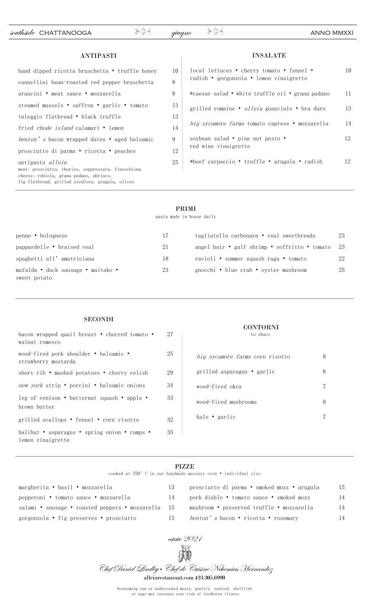southside CHATTANOOGA and anno anno metal anno metal anno metal anno metal anno metal anno metal anno metal anno

# ANTIPASTI

| hand dipped ricotta bruschetta • truffle honey                                                                                                                                        | 10  |
|---------------------------------------------------------------------------------------------------------------------------------------------------------------------------------------|-----|
| cannellini bean-roasted red pepper bruschetta                                                                                                                                         | 8   |
| arancini • meat sauce • mozzarella                                                                                                                                                    | 8   |
| steamed mussels • saffron • garlic • tomato                                                                                                                                           | 13  |
| taleggio flatbread • black truffle                                                                                                                                                    | 13  |
| fried <i>rhode island</i> calamari • lemon                                                                                                                                            | 14  |
| <i>benton's</i> bacon wrapped dates • aged balsamic                                                                                                                                   | 9   |
| prosciutto di parma • ricotta • peaches                                                                                                                                               | 12  |
| antipasto <i>alleia</i><br>meat: prosciutto, chorizo, soppressata, finocchiona<br>cheese: robiola, grana padano, ubriaco,<br>fig flatbread, grilled <i>niedlovs</i> , arugula, olives | 25. |

| local lettuces • cherry tomato • fennel •<br>radish • gorgonzola • lemon vinaigrette | 10 |
|--------------------------------------------------------------------------------------|----|
| *caesar salad • white truffle oil • grana padano                                     | 11 |
| grilled romaine • <i>alleia</i> guanciale • bra duro                                 | 13 |
| big sycamore farms tomato caprese • mozzarella                                       | 14 |
| soybean salad • pine nut pesto •<br>red wine vinaigrette                             | 12 |
| *beef carpaccio • truffle • arugula • radish                                         | 12 |

INSALATE

## PRIMI

pasta made in house daily

| penne • bolognese                                  | 17 | tagliatelle carbonara • veal sweetbreads      | 23  |
|----------------------------------------------------|----|-----------------------------------------------|-----|
| pappardelle • braised veal                         | 21 | angel hair • gulf shrimp • soffritto • tomato | -23 |
| spaghetti all' amatriciana                         | 18 | ravioli • summer squash ragu • tomato         | 22  |
| mafalda • duck sausage • maitake •<br>sweet potato | 23 | gnocchi • blue crab • oyster mushroom         | 25  |
|                                                    |    |                                               |     |

## **SECONDI**

| bacon wrapped quail breast • charred tomato •<br>walnut romesco   | 27 |
|-------------------------------------------------------------------|----|
| wood-fired pork shoulder • balsamic •<br>strawberry mostarda      | 25 |
| short rib • mashed potatoes • cherry relish                       | 29 |
| new york strip • porcini • balsamic onions                        | 34 |
| leg of venison • butternut squash • apple •<br>brown butter       | 33 |
| grilled scallops • fennel • corn risotto                          | 32 |
| halibut • asparagus • spring onion • ramps •<br>lemon vinaigrette | 35 |

# CONTORNI

to share

| <i>big sycamore farms</i> corn risotto |  |
|----------------------------------------|--|
| grilled asparagus • garlic             |  |
| wood-fired okra                        |  |
| wood-fired mushrooms                   |  |
| kale • garlic                          |  |

## PIZZE

cooked at 750°f in our handmade masonry oven • individual size

| 15 |
|----|
|    |
| 14 |
| 14 |
| 14 |
|    |



Chef Daniel Lindley • Chef de Cuisine Nehemias Hernandez alleiarestaurant.com 423.305.6990